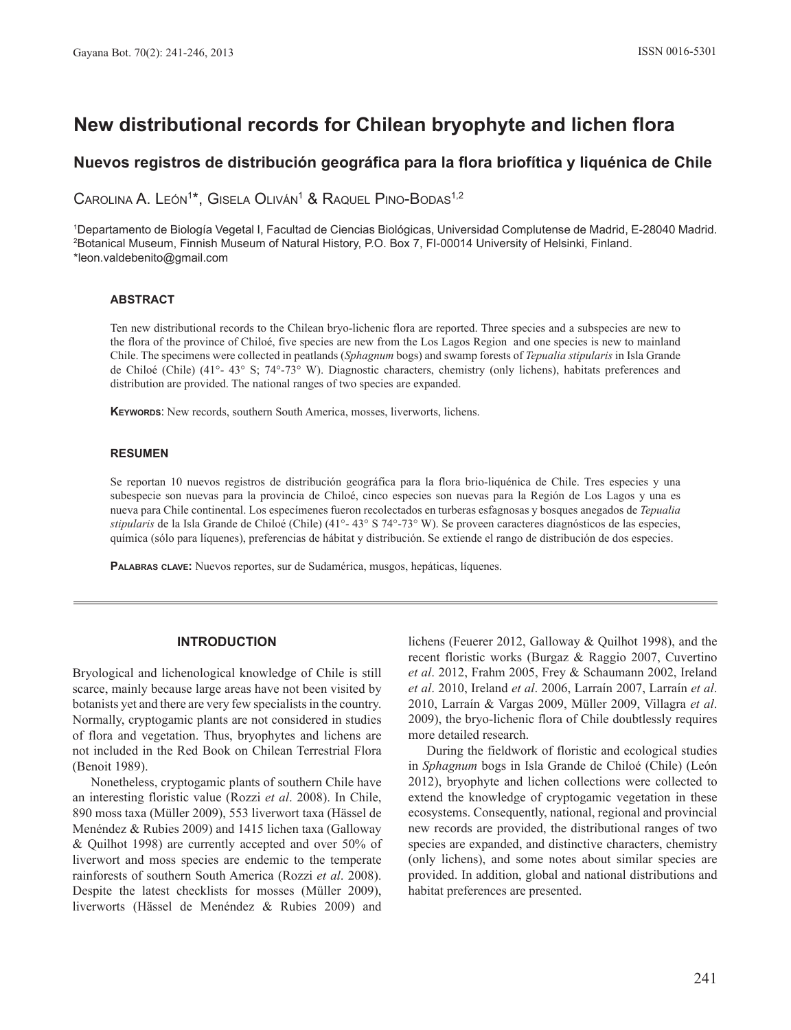# **New distributional records for Chilean bryophyte and lichen fl ora**

## **Nuevos registros de distribución geográfi ca para la fl ora briofítica y liquénica de Chile**

CAROLINA A. LEÓN<sup>1\*</sup>, GISELA OLIVÁN<sup>1</sup> & RAQUEL PINO-BODAS<sup>1,2</sup>

1 Departamento de Biología Vegetal I, Facultad de Ciencias Biológicas, Universidad Complutense de Madrid, E-28040 Madrid. 2 Botanical Museum, Finnish Museum of Natural History, P.O. Box 7, FI-00014 University of Helsinki, Finland. \*leon.valdebenito@gmail.com

#### **ABSTRACT**

Ten new distributional records to the Chilean bryo-lichenic flora are reported. Three species and a subspecies are new to the flora of the province of Chiloé, five species are new from the Los Lagos Region and one species is new to mainland Chile. The specimens were collected in peatlands (*Sphagnum* bogs) and swamp forests of *Tepualia stipularis* in Isla Grande de Chiloé (Chile) (41°- 43° S; 74°-73° W). Diagnostic characters, chemistry (only lichens), habitats preferences and distribution are provided. The national ranges of two species are expanded.

**KEYWORDS**: New records, southern South America, mosses, liverworts, lichens.

#### **RESUMEN**

Se reportan 10 nuevos registros de distribución geográfica para la flora brio-liquénica de Chile. Tres especies y una subespecie son nuevas para la provincia de Chiloé, cinco especies son nuevas para la Región de Los Lagos y una es nueva para Chile continental. Los especímenes fueron recolectados en turberas esfagnosas y bosques anegados de *Tepualia stipularis* de la Isla Grande de Chiloé (Chile) (41°- 43° S 74°-73° W). Se proveen caracteres diagnósticos de las especies, química (sólo para líquenes), preferencias de hábitat y distribución. Se extiende el rango de distribución de dos especies.

**PALABRAS CLAVE:** Nuevos reportes, sur de Sudamérica, musgos, hepáticas, líquenes.

## **INTRODUCTION**

Bryological and lichenological knowledge of Chile is still scarce, mainly because large areas have not been visited by botanists yet and there are very few specialists in the country. Normally, cryptogamic plants are not considered in studies of flora and vegetation. Thus, bryophytes and lichens are not included in the Red Book on Chilean Terrestrial Flora (Benoit 1989).

Nonetheless, cryptogamic plants of southern Chile have an interesting floristic value (Rozzi *et al*. 2008). In Chile, 890 moss taxa (Müller 2009), 553 liverwort taxa (Hässel de Menéndez & Rubies 2009) and 1415 lichen taxa (Galloway & Quilhot 1998) are currently accepted and over 50% of liverwort and moss species are endemic to the temperate rainforests of southern South America (Rozzi *et al*. 2008). Despite the latest checklists for mosses (Müller 2009), liverworts (Hässel de Menéndez & Rubies 2009) and

lichens (Feuerer 2012, Galloway & Quilhot 1998), and the recent floristic works (Burgaz & Raggio 2007, Cuvertino *et al*. 2012, Frahm 2005, Frey & Schaumann 2002, Ireland *et al*. 2010, Ireland *et al*. 2006, Larraín 2007, Larraín *et al*. 2010, Larraín & Vargas 2009, Müller 2009, Villagra *et al*. 2009), the bryo-lichenic flora of Chile doubtlessly requires more detailed research.

During the fieldwork of floristic and ecological studies in *Sphagnum* bogs in Isla Grande de Chiloé (Chile) (León 2012), bryophyte and lichen collections were collected to extend the knowledge of cryptogamic vegetation in these ecosystems. Consequently, national, regional and provincial new records are provided, the distributional ranges of two species are expanded, and distinctive characters, chemistry (only lichens), and some notes about similar species are provided. In addition, global and national distributions and habitat preferences are presented.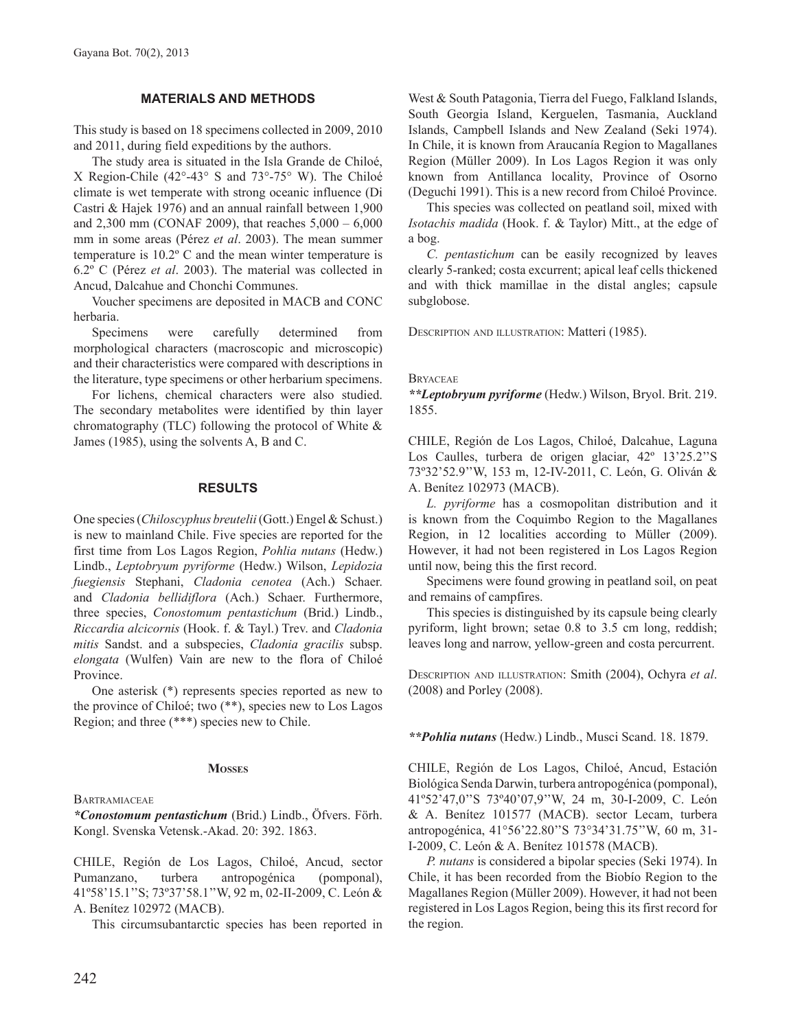## **MATERIALS AND METHODS**

This study is based on 18 specimens collected in 2009, 2010 and 2011, during field expeditions by the authors.

The study area is situated in the Isla Grande de Chiloé, X Region-Chile (42°-43° S and 73°-75° W). The Chiloé climate is wet temperate with strong oceanic influence (Di Castri & Hajek 1976) and an annual rainfall between 1,900 and 2,300 mm (CONAF 2009), that reaches 5,000 – 6,000 mm in some areas (Pérez *et al*. 2003). The mean summer temperature is 10.2º C and the mean winter temperature is 6.2º C (Pérez *et al*. 2003). The material was collected in Ancud, Dalcahue and Chonchi Communes.

Voucher specimens are deposited in MACB and CONC herbaria.

Specimens were carefully determined from morphological characters (macroscopic and microscopic) and their characteristics were compared with descriptions in the literature, type specimens or other herbarium specimens.

For lichens, chemical characters were also studied. The secondary metabolites were identified by thin layer chromatography (TLC) following the protocol of White & James (1985), using the solvents A, B and C.

## **RESULTS**

One species (*Chiloscyphus breutelii* (Gott.) Engel & Schust.) is new to mainland Chile. Five species are reported for the first time from Los Lagos Region, *Pohlia nutans* (Hedw.) Lindb., *Leptobryum pyriforme* (Hedw.) Wilson, *Lepidozia fuegiensis* Stephani, *Cladonia cenotea* (Ach.) Schaer. and *Cladonia bellidiflora* (Ach.) Schaer. Furthermore, three species, *Conostomum pentastichum* (Brid.) Lindb., *Riccardia alcicornis* (Hook. f. & Tayl.) Trev. and *Cladonia mitis* Sandst. and a subspecies, *Cladonia gracilis* subsp. *elongata* (Wulfen) Vain are new to the flora of Chiloé Province.

One asterisk (\*) represents species reported as new to the province of Chiloé; two (\*\*), species new to Los Lagos Region; and three (\*\*\*) species new to Chile.

#### **MOSSES**

**BARTRAMIACEAE** 

*\*Conostomum pentastichum* (Brid.) Lindb., Öfvers. Förh. Kongl. Svenska Vetensk.-Akad. 20: 392. 1863.

CHILE, Región de Los Lagos, Chiloé, Ancud, sector Pumanzano, turbera antropogénica (pomponal), 41º58'15.1''S; 73º37'58.1''W, 92 m, 02-II-2009, C. León & A. Benítez 102972 (MACB).

This circumsubantarctic species has been reported in

West & South Patagonia, Tierra del Fuego, Falkland Islands, South Georgia Island, Kerguelen, Tasmania, Auckland Islands, Campbell Islands and New Zealand (Seki 1974). In Chile, it is known from Araucanía Region to Magallanes Region (Müller 2009). In Los Lagos Region it was only known from Antillanca locality, Province of Osorno (Deguchi 1991). This is a new record from Chiloé Province.

This species was collected on peatland soil, mixed with *Isotachis madida* (Hook. f. & Taylor) Mitt., at the edge of a bog.

*C. pentastichum* can be easily recognized by leaves clearly 5-ranked; costa excurrent; apical leaf cells thickened and with thick mamillae in the distal angles; capsule subglobose.

DESCRIPTION AND ILLUSTRATION: Matteri (1985).

#### **BRYACEAE**

*\*\*Leptobryum pyriforme* (Hedw.) Wilson, Bryol. Brit. 219. 1855.

CHILE, Región de Los Lagos, Chiloé, Dalcahue, Laguna Los Caulles, turbera de origen glaciar, 42º 13'25.2''S 73º32'52.9''W, 153 m, 12-IV-2011, C. León, G. Oliván & A. Benítez 102973 (MACB).

*L. pyriforme* has a cosmopolitan distribution and it is known from the Coquimbo Region to the Magallanes Region, in 12 localities according to Müller (2009). However, it had not been registered in Los Lagos Region until now, being this the first record.

Specimens were found growing in peatland soil, on peat and remains of campfires.

This species is distinguished by its capsule being clearly pyriform, light brown; setae 0.8 to 3.5 cm long, reddish; leaves long and narrow, yellow-green and costa percurrent.

DESCRIPTION AND ILLUSTRATION: Smith (2004), Ochyra *et al*. (2008) and Porley (2008).

*\*\*Pohlia nutans* (Hedw.) Lindb., Musci Scand. 18. 1879.

CHILE, Región de Los Lagos, Chiloé, Ancud, Estación Biológica Senda Darwin, turbera antropogénica (pomponal), 41º52'47,0''S 73º40'07,9''W, 24 m, 30-I-2009, C. León & A. Benítez 101577 (MACB). sector Lecam, turbera antropogénica, 41°56'22.80''S 73°34'31.75''W, 60 m, 31- I-2009, C. León & A. Benítez 101578 (MACB).

*P. nutans* is considered a bipolar species (Seki 1974). In Chile, it has been recorded from the Biobío Region to the Magallanes Region (Müller 2009). However, it had not been registered in Los Lagos Region, being this its first record for the region.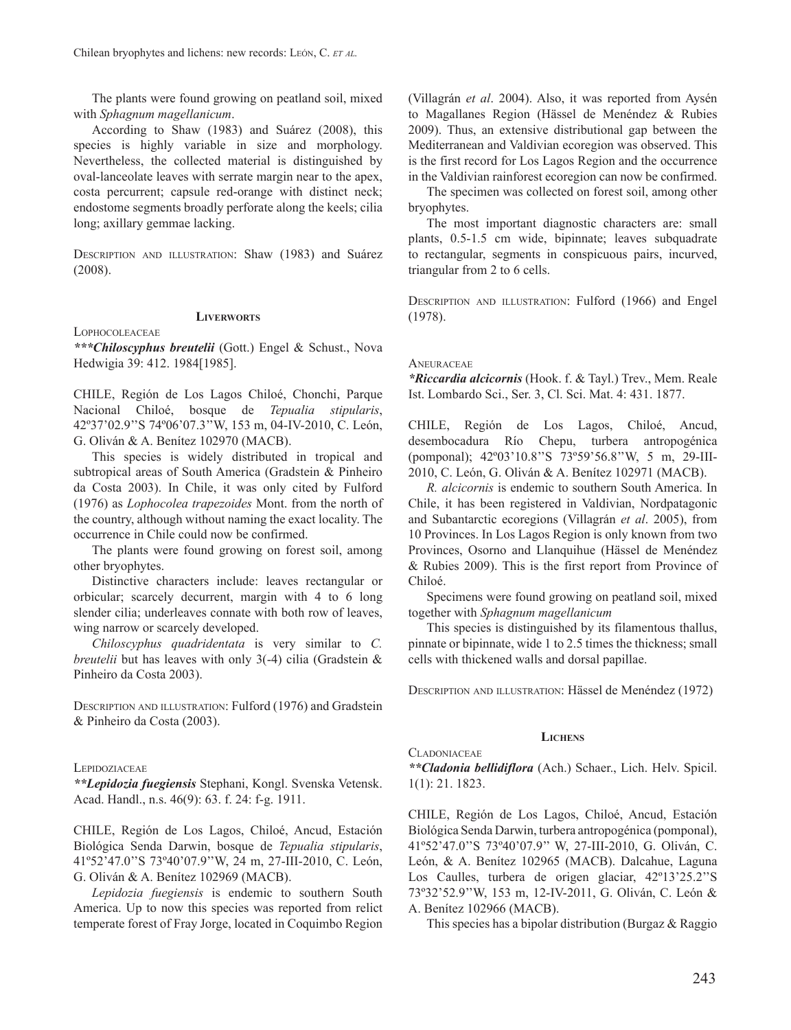The plants were found growing on peatland soil, mixed with *Sphagnum magellanicum*.

According to Shaw (1983) and Suárez (2008), this species is highly variable in size and morphology. Nevertheless, the collected material is distinguished by oval-lanceolate leaves with serrate margin near to the apex, costa percurrent; capsule red-orange with distinct neck; endostome segments broadly perforate along the keels; cilia long; axillary gemmae lacking.

DESCRIPTION AND ILLUSTRATION: Shaw (1983) and Suárez (2008).

## **LIVERWORTS**

LOPHOCOLEACEAE

*\*\*\*Chiloscyphus breutelii* (Gott.) Engel & Schust., Nova Hedwigia 39: 412. 1984[1985].

CHILE, Región de Los Lagos Chiloé, Chonchi, Parque Nacional Chiloé, bosque de *Tepualia stipularis*, 42º37'02.9''S 74º06'07.3''W, 153 m, 04-IV-2010, C. León, G. Oliván & A. Benítez 102970 (MACB).

This species is widely distributed in tropical and subtropical areas of South America (Gradstein & Pinheiro da Costa 2003). In Chile, it was only cited by Fulford (1976) as *Lophocolea trapezoides* Mont. from the north of the country, although without naming the exact locality. The occurrence in Chile could now be confirmed.

The plants were found growing on forest soil, among other bryophytes.

Distinctive characters include: leaves rectangular or orbicular; scarcely decurrent, margin with 4 to 6 long slender cilia; underleaves connate with both row of leaves, wing narrow or scarcely developed.

*Chiloscyphus quadridentata* is very similar to *C. breutelii* but has leaves with only 3(-4) cilia (Gradstein & Pinheiro da Costa 2003).

DESCRIPTION AND ILLUSTRATION: Fulford (1976) and Gradstein & Pinheiro da Costa (2003).

#### **LEPIDOZIACEAE**

*\*\*Lepidozia fuegiensis* Stephani, Kongl. Svenska Vetensk. Acad. Handl., n.s. 46(9): 63. f. 24: f-g. 1911.

CHILE, Región de Los Lagos, Chiloé, Ancud, Estación Biológica Senda Darwin, bosque de *Tepualia stipularis*, 41º52'47.0''S 73º40'07.9''W, 24 m, 27-III-2010, C. León, G. Oliván & A. Benítez 102969 (MACB).

*Lepidozia fuegiensis* is endemic to southern South America. Up to now this species was reported from relict temperate forest of Fray Jorge, located in Coquimbo Region

(Villagrán *et al*. 2004). Also, it was reported from Aysén to Magallanes Region (Hässel de Menéndez & Rubies 2009). Thus, an extensive distributional gap between the Mediterranean and Valdivian ecoregion was observed. This is the first record for Los Lagos Region and the occurrence in the Valdivian rainforest ecoregion can now be confirmed.

The specimen was collected on forest soil, among other bryophytes.

The most important diagnostic characters are: small plants, 0.5-1.5 cm wide, bipinnate; leaves subquadrate to rectangular, segments in conspicuous pairs, incurved, triangular from 2 to 6 cells.

DESCRIPTION AND ILLUSTRATION: Fulford (1966) and Engel (1978).

#### **ANEURACEAE**

*\*Riccardia alcicornis* (Hook. f. & Tayl.) Trev., Mem. Reale Ist. Lombardo Sci., Ser. 3, Cl. Sci. Mat. 4: 431. 1877.

CHILE, Región de Los Lagos, Chiloé, Ancud, desembocadura Río Chepu, turbera antropogénica (pomponal); 42º03'10.8''S 73º59'56.8''W, 5 m, 29-III-2010, C. León, G. Oliván & A. Benítez 102971 (MACB).

*R. alcicornis* is endemic to southern South America. In Chile, it has been registered in Valdivian, Nordpatagonic and Subantarctic ecoregions (Villagrán *et al*. 2005), from 10 Provinces. In Los Lagos Region is only known from two Provinces, Osorno and Llanquihue (Hässel de Menéndez & Rubies 2009). This is the first report from Province of Chiloé.

Specimens were found growing on peatland soil, mixed together with *Sphagnum magellanicum* 

This species is distinguished by its filamentous thallus, pinnate or bipinnate, wide 1 to 2.5 times the thickness; small cells with thickened walls and dorsal papillae.

DESCRIPTION AND ILLUSTRATION: Hässel de Menéndez (1972)

#### **LICHENS CLADONIACEAE**

*\*\*Cladonia bellidiflora* (Ach.) Schaer., Lich. Helv. Spicil. 1(1): 21. 1823.

CHILE, Región de Los Lagos, Chiloé, Ancud, Estación Biológica Senda Darwin, turbera antropogénica (pomponal), 41º52'47.0''S 73º40'07.9'' W, 27-III-2010, G. Oliván, C. León, & A. Benítez 102965 (MACB). Dalcahue, Laguna Los Caulles, turbera de origen glaciar, 42º13'25.2''S 73º32'52.9''W, 153 m, 12-IV-2011, G. Oliván, C. León & A. Benítez 102966 (MACB).

This species has a bipolar distribution (Burgaz & Raggio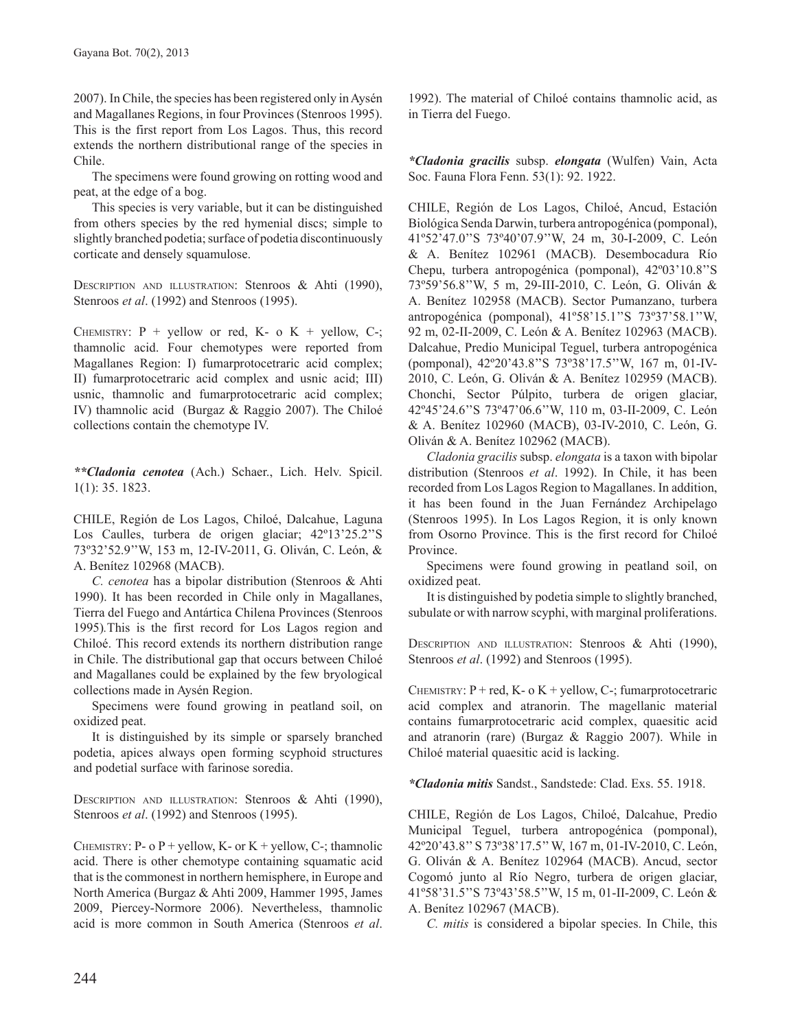2007). In Chile, the species has been registered only in Aysén and Magallanes Regions, in four Provinces (Stenroos 1995). This is the first report from Los Lagos. Thus, this record extends the northern distributional range of the species in Chile.

The specimens were found growing on rotting wood and peat, at the edge of a bog.

This species is very variable, but it can be distinguished from others species by the red hymenial discs; simple to slightly branched podetia; surface of podetia discontinuously corticate and densely squamulose.

DESCRIPTION AND ILLUSTRATION: Stenroos & Ahti (1990), Stenroos *et al*. (1992) and Stenroos (1995).

CHEMISTRY:  $P +$  yellow or red,  $K - o K +$  yellow, C-; thamnolic acid. Four chemotypes were reported from Magallanes Region: I) fumarprotocetraric acid complex; II) fumarprotocetraric acid complex and usnic acid; III) usnic, thamnolic and fumarprotocetraric acid complex; IV) thamnolic acid (Burgaz & Raggio 2007). The Chiloé collections contain the chemotype IV.

*\*\*Cladonia cenotea* (Ach.) Schaer., Lich. Helv. Spicil. 1(1): 35. 1823.

CHILE, Región de Los Lagos, Chiloé, Dalcahue, Laguna Los Caulles, turbera de origen glaciar; 42º13'25.2''S 73º32'52.9''W, 153 m, 12-IV-2011, G. Oliván, C. León, & A. Benítez 102968 (MACB).

*C. cenotea* has a bipolar distribution (Stenroos & Ahti 1990). It has been recorded in Chile only in Magallanes, Tierra del Fuego and Antártica Chilena Provinces (Stenroos 1995)*.*This is the first record for Los Lagos region and Chiloé. This record extends its northern distribution range in Chile. The distributional gap that occurs between Chiloé and Magallanes could be explained by the few bryological collections made in Aysén Region.

Specimens were found growing in peatland soil, on oxidized peat.

It is distinguished by its simple or sparsely branched podetia, apices always open forming scyphoid structures and podetial surface with farinose soredia.

DESCRIPTION AND ILLUSTRATION: Stenroos & Ahti (1990), Stenroos *et al*. (1992) and Stenroos (1995).

CHEMISTRY: P- o P + yellow, K- or K + yellow, C-; thamnolic acid. There is other chemotype containing squamatic acid that is the commonest in northern hemisphere, in Europe and North America (Burgaz & Ahti 2009, Hammer 1995, James 2009, Piercey-Normore 2006). Nevertheless, thamnolic acid is more common in South America (Stenroos *et al*.

1992). The material of Chiloé contains thamnolic acid, as in Tierra del Fuego.

*\*Cladonia gracilis* subsp. *elongata* (Wulfen) Vain, Acta Soc. Fauna Flora Fenn. 53(1): 92. 1922.

CHILE, Región de Los Lagos, Chiloé, Ancud, Estación Biológica Senda Darwin, turbera antropogénica (pomponal), 41º52'47.0''S 73º40'07.9''W, 24 m, 30-I-2009, C. León & A. Benítez 102961 (MACB). Desembocadura Río Chepu, turbera antropogénica (pomponal), 42º03'10.8''S 73º59'56.8''W, 5 m, 29-III-2010, C. León, G. Oliván & A. Benítez 102958 (MACB). Sector Pumanzano, turbera antropogénica (pomponal), 41º58'15.1''S 73º37'58.1''W, 92 m, 02-II-2009, C. León & A. Benítez 102963 (MACB). Dalcahue, Predio Municipal Teguel, turbera antropogénica (pomponal), 42º20'43.8''S 73º38'17.5''W, 167 m, 01-IV-2010, C. León, G. Oliván & A. Benítez 102959 (MACB). Chonchi, Sector Púlpito, turbera de origen glaciar, 42º45'24.6''S 73º47'06.6''W, 110 m, 03-II-2009, C. León & A. Benítez 102960 (MACB), 03-IV-2010, C. León, G. Oliván & A. Benítez 102962 (MACB).

*Cladonia gracilis* subsp. *elongata* is a taxon with bipolar distribution (Stenroos *et al*. 1992). In Chile, it has been recorded from Los Lagos Region to Magallanes. In addition, it has been found in the Juan Fernández Archipelago (Stenroos 1995). In Los Lagos Region, it is only known from Osorno Province. This is the first record for Chiloé Province.

Specimens were found growing in peatland soil, on oxidized peat.

It is distinguished by podetia simple to slightly branched, subulate or with narrow scyphi, with marginal proliferations.

DESCRIPTION AND ILLUSTRATION: Stenroos & Ahti (1990), Stenroos *et al*. (1992) and Stenroos (1995).

CHEMISTRY:  $P$  + red, K- o K + yellow, C-; fumarprotocetraric acid complex and atranorin. The magellanic material contains fumarprotocetraric acid complex, quaesitic acid and atranorin (rare) (Burgaz & Raggio 2007). While in Chiloé material quaesitic acid is lacking.

*\*Cladonia mitis* Sandst., Sandstede: Clad. Exs. 55. 1918.

CHILE, Región de Los Lagos, Chiloé, Dalcahue, Predio Municipal Teguel, turbera antropogénica (pomponal), 42º20'43.8'' S 73º38'17.5'' W, 167 m, 01-IV-2010, C. León, G. Oliván & A. Benítez 102964 (MACB). Ancud, sector Cogomó junto al Río Negro, turbera de origen glaciar, 41º58'31.5''S 73º43'58.5''W, 15 m, 01-II-2009, C. León & A. Benítez 102967 (MACB).

*C. mitis* is considered a bipolar species. In Chile, this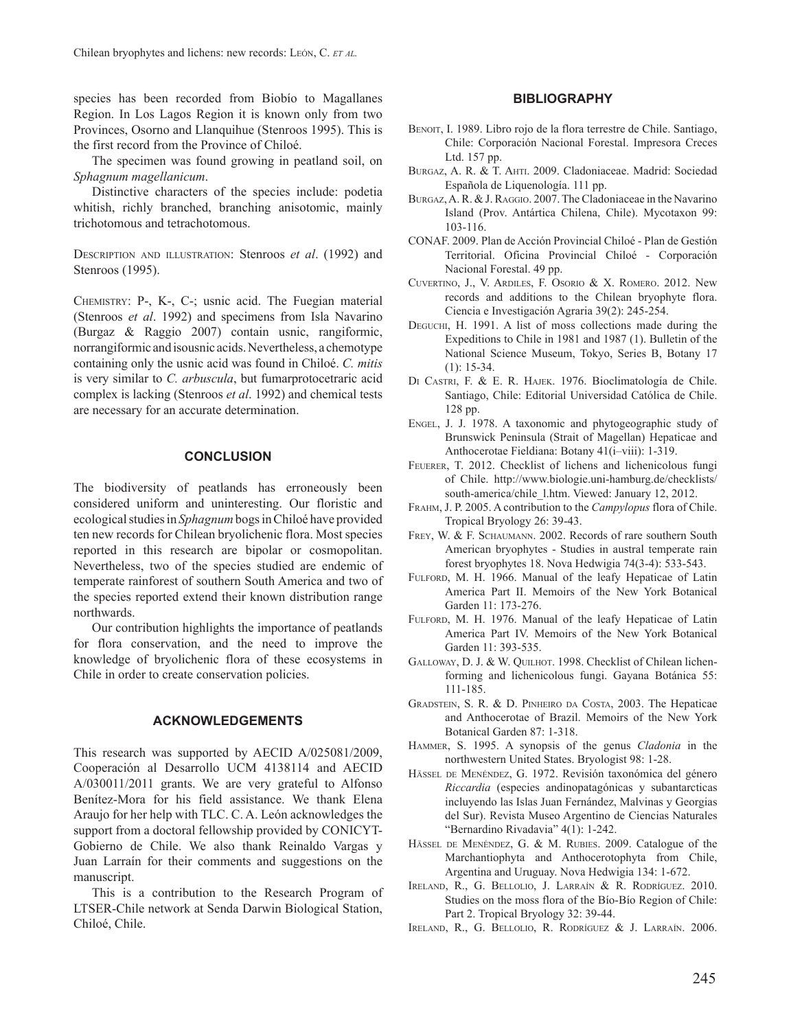species has been recorded from Biobío to Magallanes Region. In Los Lagos Region it is known only from two Provinces, Osorno and Llanquihue (Stenroos 1995). This is the first record from the Province of Chiloé.

The specimen was found growing in peatland soil, on *Sphagnum magellanicum*.

Distinctive characters of the species include: podetia whitish, richly branched, branching anisotomic, mainly trichotomous and tetrachotomous.

DESCRIPTION AND ILLUSTRATION: Stenroos *et al*. (1992) and Stenroos (1995).

CHEMISTRY: P-, K-, C-; usnic acid. The Fuegian material (Stenroos *et al*. 1992) and specimens from Isla Navarino (Burgaz & Raggio 2007) contain usnic, rangiformic, norrangiformic and isousnic acids. Nevertheless, a chemotype containing only the usnic acid was found in Chiloé. *C. mitis* is very similar to *C. arbuscula*, but fumarprotocetraric acid complex is lacking (Stenroos *et al*. 1992) and chemical tests are necessary for an accurate determination.

#### **CONCLUSION**

The biodiversity of peatlands has erroneously been considered uniform and uninteresting. Our floristic and ecological studies in *Sphagnum* bogs in Chiloé have provided ten new records for Chilean bryolichenic flora. Most species reported in this research are bipolar or cosmopolitan. Nevertheless, two of the species studied are endemic of temperate rainforest of southern South America and two of the species reported extend their known distribution range northwards.

Our contribution highlights the importance of peatlands for flora conservation, and the need to improve the knowledge of bryolichenic flora of these ecosystems in Chile in order to create conservation policies.

#### **ACKNOWLEDGEMENTS**

This research was supported by AECID A/025081/2009, Cooperación al Desarrollo UCM 4138114 and AECID A/030011/2011 grants. We are very grateful to Alfonso Benítez-Mora for his field assistance. We thank Elena Araujo for her help with TLC. C. A. León acknowledges the support from a doctoral fellowship provided by CONICYT-Gobierno de Chile. We also thank Reinaldo Vargas y Juan Larraín for their comments and suggestions on the manuscript.

This is a contribution to the Research Program of LTSER-Chile network at Senda Darwin Biological Station, Chiloé, Chile.

### **BIBLIOGRAPHY**

- BENOIT, I. 1989. Libro rojo de la flora terrestre de Chile. Santiago, Chile: Corporación Nacional Forestal. Impresora Creces Ltd. 157 pp.
- BURGAZ, A. R. & T. AHTI. 2009. Cladoniaceae. Madrid: Sociedad Española de Liquenología. 111 pp.
- BURGAZ, A. R. & J. RAGGIO. 2007. The Cladoniaceae in the Navarino Island (Prov. Antártica Chilena, Chile). Mycotaxon 99: 103-116.
- CONAF. 2009. Plan de Acción Provincial Chiloé Plan de Gestión Territorial. Oficina Provincial Chiloé - Corporación Nacional Forestal. 49 pp.
- CUVERTINO, J., V. ARDILES, F. OSORIO & X. ROMERO. 2012. New records and additions to the Chilean bryophyte flora. Ciencia e Investigación Agraria 39(2): 245-254.
- DEGUCHI, H. 1991. A list of moss collections made during the Expeditions to Chile in 1981 and 1987 (1). Bulletin of the National Science Museum, Tokyo, Series B, Botany 17 (1): 15-34.
- DI CASTRI, F. & E. R. HAJEK. 1976. Bioclimatología de Chile. Santiago, Chile: Editorial Universidad Católica de Chile. 128 pp.
- ENGEL, J. J. 1978. A taxonomic and phytogeographic study of Brunswick Peninsula (Strait of Magellan) Hepaticae and Anthocerotae Fieldiana: Botany 41(i–viii): 1-319.
- FEUERER, T. 2012. Checklist of lichens and lichenicolous fungi of Chile. http://www.biologie.uni-hamburg.de/checklists/ south-america/chile\_l.htm. Viewed: January 12, 2012.
- FRAHM, J. P. 2005. A contribution to the *Campylopus* flora of Chile. Tropical Bryology 26: 39-43.
- FREY, W. & F. SCHAUMANN. 2002. Records of rare southern South American bryophytes - Studies in austral temperate rain forest bryophytes 18. Nova Hedwigia 74(3-4): 533-543.
- FULFORD, M. H. 1966. Manual of the leafy Hepaticae of Latin America Part II. Memoirs of the New York Botanical Garden 11: 173-276.
- FULFORD, M. H. 1976. Manual of the leafy Hepaticae of Latin America Part IV. Memoirs of the New York Botanical Garden 11: 393-535.
- GALLOWAY, D. J. & W. QUILHOT. 1998. Checklist of Chilean lichenforming and lichenicolous fungi. Gayana Botánica 55: 111-185.
- GRADSTEIN, S. R. & D. PINHEIRO DA COSTA, 2003. The Hepaticae and Anthocerotae of Brazil. Memoirs of the New York Botanical Garden 87: 1-318.
- HAMMER, S. 1995. A synopsis of the genus *Cladonia* in the northwestern United States. Bryologist 98: 1-28.
- HÄSSEL DE MENÉNDEZ, G. 1972. Revisión taxonómica del género *Riccardia* (especies andinopatagónicas y subantarcticas incluyendo las Islas Juan Fernández, Malvinas y Georgias del Sur). Revista Museo Argentino de Ciencias Naturales "Bernardino Rivadavia" 4(1): 1-242.
- HÄSSEL DE MENÉNDEZ, G. & M. RUBIES. 2009. Catalogue of the Marchantiophyta and Anthocerotophyta from Chile, Argentina and Uruguay. Nova Hedwigia 134: 1-672.
- IRELAND, R., G. BELLOLIO, J. LARRAÍN & R. RODRÍGUEZ. 2010. Studies on the moss flora of the Bío-Bío Region of Chile: Part 2. Tropical Bryology 32: 39-44.
- IRELAND, R., G. BELLOLIO, R. RODRÍGUEZ & J. LARRAÍN. 2006.